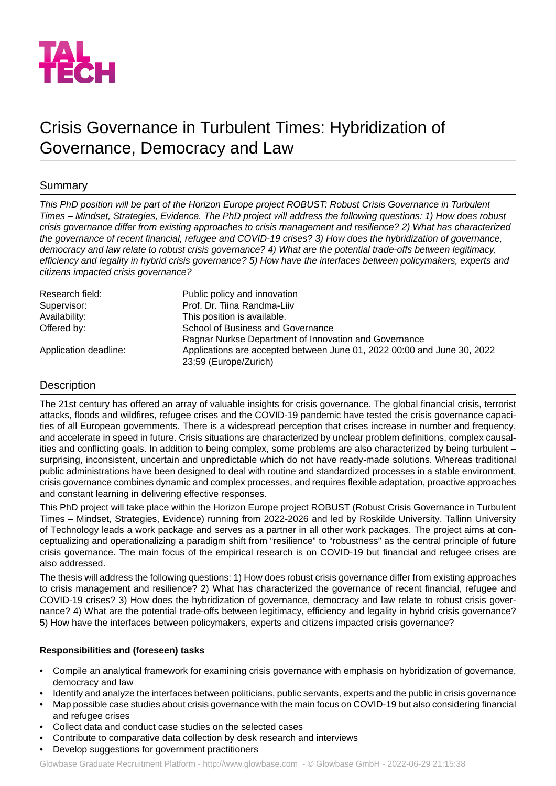

# Crisis Governance in Turbulent Times: Hybridization of Governance, Democracy and Law

# Summary

This PhD position will be part of the Horizon Europe project ROBUST: Robust Crisis Governance in Turbulent Times - Mindset, Strategies, Evidence. The PhD project will address the following questions: 1) How does robust *crisis governance differ from existing approaches to crisis management and resilience? 2) What has characterized the governance of recent financial, refugee and COVID-19 crises? 3) How does the hybridization of governance, democracy and law relate to robust crisis governance? 4) What are the potential trade-offs between legitimacy, efficiency and legality in hybrid crisis governance? 5) How have the interfaces between policymakers, experts and citizens impacted crisis governance?*

| Research field:       | Public policy and innovation                                            |
|-----------------------|-------------------------------------------------------------------------|
| Supervisor:           | Prof. Dr. Tiina Randma-Liiv                                             |
| Availability:         | This position is available.                                             |
| Offered by:           | School of Business and Governance                                       |
|                       | Ragnar Nurkse Department of Innovation and Governance                   |
| Application deadline: | Applications are accepted between June 01, 2022 00:00 and June 30, 2022 |
|                       | 23:59 (Europe/Zurich)                                                   |

## **Description**

The 21st century has offered an array of valuable insights for crisis governance. The global financial crisis, terrorist attacks, floods and wildfires, refugee crises and the COVID-19 pandemic have tested the crisis governance capacities of all European governments. There is a widespread perception that crises increase in number and frequency, and accelerate in speed in future. Crisis situations are characterized by unclear problem definitions, complex causalities and conflicting goals. In addition to being complex, some problems are also characterized by being turbulent – surprising, inconsistent, uncertain and unpredictable which do not have ready-made solutions. Whereas traditional public administrations have been designed to deal with routine and standardized processes in a stable environment, crisis governance combines dynamic and complex processes, and requires flexible adaptation, proactive approaches and constant learning in delivering effective responses.

This PhD project will take place within the Horizon Europe project ROBUST (Robust Crisis Governance in Turbulent Times – Mindset, Strategies, Evidence) running from 2022-2026 and led by Roskilde University. Tallinn University of Technology leads a work package and serves as a partner in all other work packages. The project aims at conceptualizing and operationalizing a paradigm shift from "resilience" to "robustness" as the central principle of future crisis governance. The main focus of the empirical research is on COVID-19 but financial and refugee crises are also addressed.

The thesis will address the following questions: 1) How does robust crisis governance differ from existing approaches to crisis management and resilience? 2) What has characterized the governance of recent financial, refugee and COVID-19 crises? 3) How does the hybridization of governance, democracy and law relate to robust crisis governance? 4) What are the potential trade-offs between legitimacy, efficiency and legality in hybrid crisis governance? 5) How have the interfaces between policymakers, experts and citizens impacted crisis governance?

## **Responsibilities and (foreseen) tasks**

- Compile an analytical framework for examining crisis governance with emphasis on hybridization of governance, democracy and law
- Identify and analyze the interfaces between politicians, public servants, experts and the public in crisis governance
- Map possible case studies about crisis governance with the main focus on COVID-19 but also considering financial and refugee crises
- Collect data and conduct case studies on the selected cases
- Contribute to comparative data collection by desk research and interviews
- Develop suggestions for government practitioners

Glowbase Graduate Recruitment Platform -<http://www.glowbase.com> - © Glowbase GmbH - 2022-06-29 21:15:38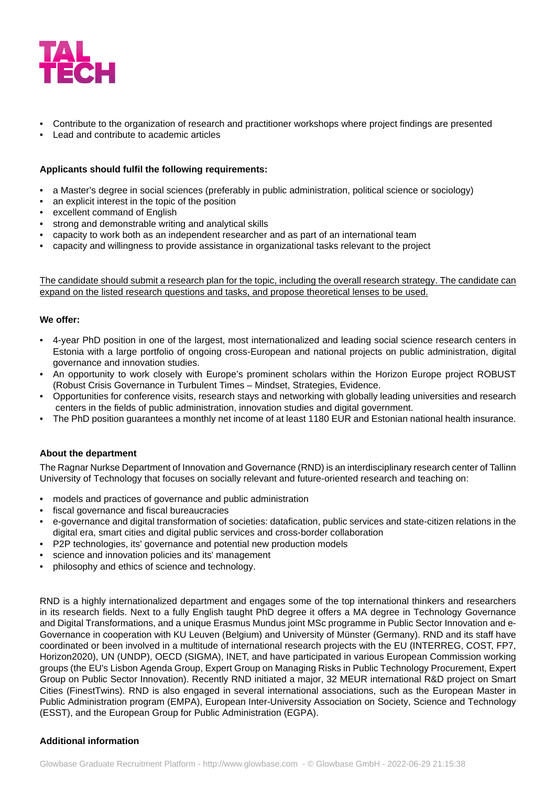

- Contribute to the organization of research and practitioner workshops where project findings are presented
- Lead and contribute to academic articles

## **Applicants should fulfil the following requirements:**

- a Master's degree in social sciences (preferably in public administration, political science or sociology)
- an explicit interest in the topic of the position
- excellent command of English
- strong and demonstrable writing and analytical skills
- capacity to work both as an independent researcher and as part of an international team
- capacity and willingness to provide assistance in organizational tasks relevant to the project

The candidate should submit a research plan for the topic, including the overall research strategy. The candidate can expand on the listed research questions and tasks, and propose theoretical lenses to be used.

#### **We offer:**

- 4-year PhD position in one of the largest, most internationalized and leading social science research centers in Estonia with a large portfolio of ongoing cross-European and national projects on public administration, digital governance and innovation studies.
- An opportunity to work closely with Europe's prominent scholars within the Horizon Europe project ROBUST (Robust Crisis Governance in Turbulent Times – Mindset, Strategies, Evidence.
- Opportunities for conference visits, research stays and networking with globally leading universities and research centers in the fields of public administration, innovation studies and digital government.
- The PhD position guarantees a monthly net income of at least 1180 EUR and Estonian national health insurance.

#### **About the department**

The Ragnar Nurkse Department of Innovation and Governance (RND) is an interdisciplinary research center of Tallinn University of Technology that focuses on socially relevant and future-oriented research and teaching on:

- models and practices of governance and public administration
- fiscal governance and fiscal bureaucracies
- e-governance and digital transformation of societies: datafication, public services and state-citizen relations in the digital era, smart cities and digital public services and cross-border collaboration
- P2P technologies, its' governance and potential new production models
- science and innovation policies and its' management
- philosophy and ethics of science and technology.

RND is a highly internationalized department and engages some of the top international thinkers and researchers in its research fields. Next to a fully English taught PhD degree it offers a MA degree in Technology Governance and Digital Transformations, and a unique Erasmus Mundus joint MSc programme in Public Sector Innovation and e-Governance in cooperation with KU Leuven (Belgium) and University of Münster (Germany). RND and its staff have coordinated or been involved in a multitude of international research projects with the EU (INTERREG, COST, FP7, Horizon2020), UN (UNDP), OECD (SIGMA), INET, and have participated in various European Commission working groups (the EU's Lisbon Agenda Group, Expert Group on Managing Risks in Public Technology Procurement, Expert Group on Public Sector Innovation). Recently RND initiated a major, 32 MEUR international R&D project on Smart Cities (FinestTwins). RND is also engaged in several international associations, such as the European Master in Public Administration program (EMPA), European Inter-University Association on Society, Science and Technology (ESST), and the European Group for Public Administration (EGPA).

#### **Additional information**